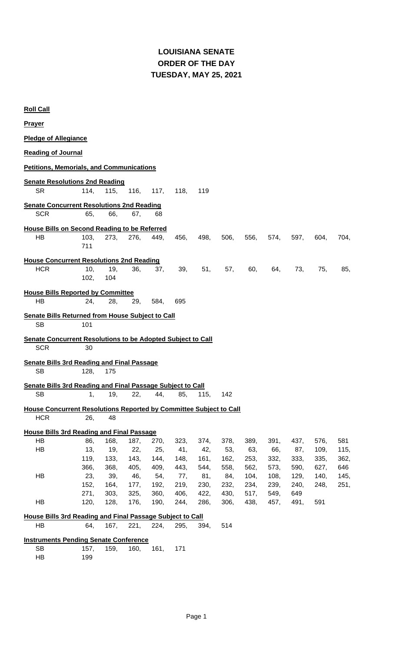### **LOUISIANA SENATE TUESDAY, MAY 25, 2021 ORDER OF THE DAY**

| <b>Roll Call</b>                                                          |      |      |      |      |      |      |      |      |      |      |      |      |
|---------------------------------------------------------------------------|------|------|------|------|------|------|------|------|------|------|------|------|
| <b>Prayer</b>                                                             |      |      |      |      |      |      |      |      |      |      |      |      |
| <b>Pledge of Allegiance</b>                                               |      |      |      |      |      |      |      |      |      |      |      |      |
| <b>Reading of Journal</b>                                                 |      |      |      |      |      |      |      |      |      |      |      |      |
| <b>Petitions, Memorials, and Communications</b>                           |      |      |      |      |      |      |      |      |      |      |      |      |
| <b>Senate Resolutions 2nd Reading</b>                                     |      |      |      |      |      |      |      |      |      |      |      |      |
| <b>SR</b>                                                                 | 114, | 115, | 116, | 117, | 118, | 119  |      |      |      |      |      |      |
| <b>Senate Concurrent Resolutions 2nd Reading</b>                          |      |      |      |      |      |      |      |      |      |      |      |      |
| <b>SCR</b>                                                                | 65,  | 66,  | 67,  | 68   |      |      |      |      |      |      |      |      |
| <b>House Bills on Second Reading to be Referred</b>                       |      |      |      |      |      |      |      |      |      |      |      |      |
| <b>HB</b>                                                                 | 103, | 273, | 276, | 449. | 456, | 498, | 506, | 556, | 574, | 597, | 604, | 704, |
|                                                                           | 711  |      |      |      |      |      |      |      |      |      |      |      |
| <b>House Concurrent Resolutions 2nd Reading</b>                           |      |      |      |      |      |      |      |      |      |      |      |      |
| <b>HCR</b>                                                                | 10,  | 19,  | 36,  | 37,  | 39,  | 51,  | 57,  | 60,  | 64,  | 73.  | 75,  | 85,  |
|                                                                           | 102, | 104  |      |      |      |      |      |      |      |      |      |      |
|                                                                           |      |      |      |      |      |      |      |      |      |      |      |      |
| <b>House Bills Reported by Committee</b><br><b>HB</b>                     | 24,  | 28,  | 29,  | 584, | 695  |      |      |      |      |      |      |      |
|                                                                           |      |      |      |      |      |      |      |      |      |      |      |      |
| <b>Senate Bills Returned from House Subject to Call</b>                   |      |      |      |      |      |      |      |      |      |      |      |      |
| <b>SB</b>                                                                 | 101  |      |      |      |      |      |      |      |      |      |      |      |
|                                                                           |      |      |      |      |      |      |      |      |      |      |      |      |
| <b>Senate Concurrent Resolutions to be Adopted Subject to Call</b>        |      |      |      |      |      |      |      |      |      |      |      |      |
| <b>SCR</b>                                                                | 30   |      |      |      |      |      |      |      |      |      |      |      |
|                                                                           |      |      |      |      |      |      |      |      |      |      |      |      |
| <b>Senate Bills 3rd Reading and Final Passage</b>                         |      |      |      |      |      |      |      |      |      |      |      |      |
| <b>SB</b>                                                                 | 128, | 175  |      |      |      |      |      |      |      |      |      |      |
| <b>Senate Bills 3rd Reading and Final Passage Subject to Call</b>         |      |      |      |      |      |      |      |      |      |      |      |      |
| 5B.                                                                       | 1,   | 19,  | 22,  | 44,  | 85,  | 115, | 142  |      |      |      |      |      |
| <b>House Concurrent Resolutions Reported by Committee Subject to Call</b> |      |      |      |      |      |      |      |      |      |      |      |      |
| <b>HCR</b>                                                                | 26,  | 48   |      |      |      |      |      |      |      |      |      |      |
| <b>House Bills 3rd Reading and Final Passage</b>                          |      |      |      |      |      |      |      |      |      |      |      |      |
| HB                                                                        | 86,  | 168, | 187, | 270, | 323, | 374, | 378, | 389, | 391, | 437, | 576, | 581  |
| HB                                                                        | 13,  | 19,  | 22,  | 25,  | 41,  | 42,  | 53,  | 63,  | 66,  | 87,  | 109, | 115, |
|                                                                           | 119, | 133, | 143, | 144, | 148, | 161, | 162, | 253, | 332, | 333, | 335, | 362, |
|                                                                           | 366, | 368, | 405, | 409, | 443, | 544, | 558, | 562, | 573, | 590, | 627, | 646  |
| HB                                                                        | 23,  | 39,  | 46,  | 54,  | 77,  | 81,  | 84,  | 104, | 108, | 129, | 140, | 145, |
|                                                                           | 152, | 164, | 177, | 192, | 219, | 230, | 232, | 234, | 239, | 240, | 248, | 251, |
|                                                                           | 271, | 303, | 325, | 360, | 406, | 422, | 430, | 517, | 549, | 649  |      |      |
| HB                                                                        | 120, | 128, | 176, | 190, | 244, | 286, | 306, | 438, | 457, | 491, | 591  |      |
| <b>House Bills 3rd Reading and Final Passage Subject to Call</b>          |      |      |      |      |      |      |      |      |      |      |      |      |
| HB                                                                        | 64,  | 167, | 221, | 224, | 295, | 394, | 514  |      |      |      |      |      |
|                                                                           |      |      |      |      |      |      |      |      |      |      |      |      |
| <b>Instruments Pending Senate Conference</b><br><b>SB</b>                 | 157, | 159, | 160, | 161, | 171  |      |      |      |      |      |      |      |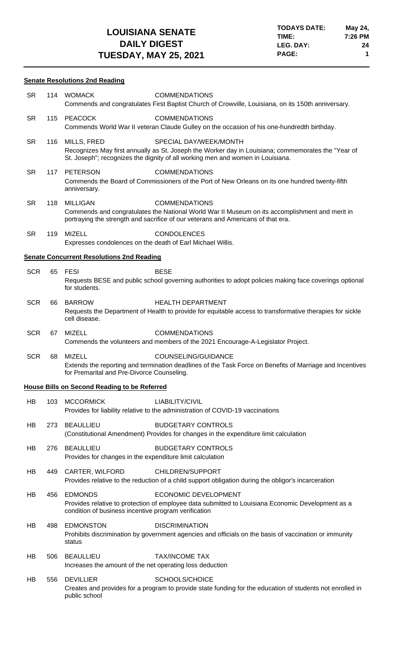#### **Senate Resolutions 2nd Reading**

| <b>SR</b>  | 114 | WOMACK                                                                        | <b>COMMENDATIONS</b><br>Commends and congratulates First Baptist Church of Crowville, Louisiana, on its 150th anniversary.                                                                                     |
|------------|-----|-------------------------------------------------------------------------------|----------------------------------------------------------------------------------------------------------------------------------------------------------------------------------------------------------------|
| <b>SR</b>  | 115 | PEACOCK                                                                       | <b>COMMENDATIONS</b><br>Commends World War II veteran Claude Gulley on the occasion of his one-hundredth birthday.                                                                                             |
| <b>SR</b>  | 116 | MILLS, FRED                                                                   | SPECIAL DAY/WEEK/MONTH<br>Recognizes May first annually as St. Joseph the Worker day in Louisiana; commemorates the "Year of<br>St. Joseph"; recognizes the dignity of all working men and women in Louisiana. |
| <b>SR</b>  | 117 | <b>PETERSON</b><br>anniversary.                                               | <b>COMMENDATIONS</b><br>Commends the Board of Commissioners of the Port of New Orleans on its one hundred twenty-fifth                                                                                         |
| <b>SR</b>  | 118 | <b>MILLIGAN</b>                                                               | <b>COMMENDATIONS</b><br>Commends and congratulates the National World War II Museum on its accomplishment and merit in<br>portraying the strength and sacrifice of our veterans and Americans of that era.     |
| <b>SR</b>  | 119 | <b>MIZELL</b><br>Expresses condolences on the death of Earl Michael Willis.   | <b>CONDOLENCES</b>                                                                                                                                                                                             |
|            |     | <b>Senate Concurrent Resolutions 2nd Reading</b>                              |                                                                                                                                                                                                                |
| <b>SCR</b> | 65  | <b>FESI</b><br>for students.                                                  | <b>BESE</b><br>Requests BESE and public school governing authorities to adopt policies making face coverings optional                                                                                          |
| <b>SCR</b> | 66  | <b>BARROW</b><br>cell disease.                                                | <b>HEALTH DEPARTMENT</b><br>Requests the Department of Health to provide for equitable access to transformative therapies for sickle                                                                           |
| <b>SCR</b> | 67  | <b>MIZELL</b>                                                                 | <b>COMMENDATIONS</b><br>Commends the volunteers and members of the 2021 Encourage-A-Legislator Project.                                                                                                        |
| <b>SCR</b> | 68  | <b>MIZELL</b><br>for Premarital and Pre-Divorce Counseling.                   | COUNSELING/GUIDANCE<br>Extends the reporting and termination deadlines of the Task Force on Benefits of Marriage and Incentives                                                                                |
|            |     | <b>House Bills on Second Reading to be Referred</b>                           |                                                                                                                                                                                                                |
| HB         | 103 | <b>MCCORMICK</b>                                                              | LIABILITY/CIVIL<br>Provides for liability relative to the administration of COVID-19 vaccinations                                                                                                              |
| HB         | 273 | <b>BEAULLIEU</b>                                                              | <b>BUDGETARY CONTROLS</b><br>(Constitutional Amendment) Provides for changes in the expenditure limit calculation                                                                                              |
| HB         | 276 | <b>BEAULLIEU</b><br>Provides for changes in the expenditure limit calculation | <b>BUDGETARY CONTROLS</b>                                                                                                                                                                                      |
| HB         | 449 | CARTER, WILFORD                                                               | CHILDREN/SUPPORT<br>Provides relative to the reduction of a child support obligation during the obligor's incarceration                                                                                        |
| HB         | 456 | <b>EDMONDS</b><br>condition of business incentive program verification        | <b>ECONOMIC DEVELOPMENT</b><br>Provides relative to protection of employee data submitted to Louisiana Economic Development as a                                                                               |
| HB         | 498 | <b>EDMONSTON</b><br>status                                                    | <b>DISCRIMINATION</b><br>Prohibits discrimination by government agencies and officials on the basis of vaccination or immunity                                                                                 |
| HB         | 506 | <b>BEAULLIEU</b><br>Increases the amount of the net operating loss deduction  | <b>TAX/INCOME TAX</b>                                                                                                                                                                                          |
| HB         | 556 | <b>DEVILLIER</b><br>public school                                             | SCHOOLS/CHOICE<br>Creates and provides for a program to provide state funding for the education of students not enrolled in                                                                                    |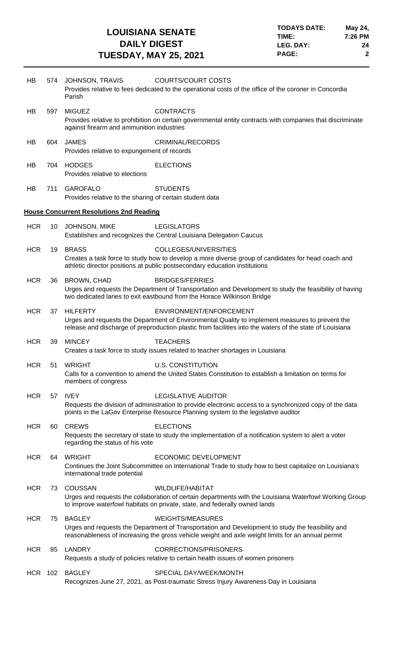| HB         | 574 | JOHNSON, TRAVIS<br>Parish                                                   | <b>COURTS/COURT COSTS</b><br>Provides relative to fees dedicated to the operational costs of the office of the coroner in Concordia                                                                                                    |
|------------|-----|-----------------------------------------------------------------------------|----------------------------------------------------------------------------------------------------------------------------------------------------------------------------------------------------------------------------------------|
| HB         | 597 | <b>MIGUEZ</b><br>against firearm and ammunition industries                  | <b>CONTRACTS</b><br>Provides relative to prohibition on certain governmental entity contracts with companies that discriminate                                                                                                         |
| HB         | 604 | <b>JAMES</b><br>Provides relative to expungement of records                 | <b>CRIMINAL/RECORDS</b>                                                                                                                                                                                                                |
| HB         | 704 | <b>HODGES</b><br>Provides relative to elections                             | <b>ELECTIONS</b>                                                                                                                                                                                                                       |
| HB         | 711 | <b>GAROFALO</b><br>Provides relative to the sharing of certain student data | <b>STUDENTS</b>                                                                                                                                                                                                                        |
|            |     | <b>House Concurrent Resolutions 2nd Reading</b>                             |                                                                                                                                                                                                                                        |
| <b>HCR</b> | 10  | JOHNSON, MIKE                                                               | <b>LEGISLATORS</b><br>Establishes and recognizes the Central Louisiana Delegation Caucus                                                                                                                                               |
| <b>HCR</b> | 19  | <b>BRASS</b>                                                                | COLLEGES/UNIVERSITIES<br>Creates a task force to study how to develop a more diverse group of candidates for head coach and<br>athletic director positions at public postsecondary education institutions                              |
| <b>HCR</b> | 36  | <b>BROWN, CHAD</b>                                                          | <b>BRIDGES/FERRIES</b><br>Urges and requests the Department of Transportation and Development to study the feasibility of having<br>two dedicated lanes to exit eastbound from the Horace Wilkinson Bridge                             |
| <b>HCR</b> | 37  | <b>HILFERTY</b>                                                             | ENVIRONMENT/ENFORCEMENT<br>Urges and requests the Department of Environmental Quality to implement measures to prevent the<br>release and discharge of preproduction plastic from facilities into the waters of the state of Louisiana |
| <b>HCR</b> | 39  | <b>MINCEY</b>                                                               | <b>TEACHERS</b>                                                                                                                                                                                                                        |
|            |     |                                                                             | Creates a task force to study issues related to teacher shortages in Louisiana                                                                                                                                                         |
| <b>HCR</b> | 51  | <b>WRIGHT</b>                                                               | <b>U.S. CONSTITUTION</b>                                                                                                                                                                                                               |
|            |     | members of congress                                                         | Calls for a convention to amend the United States Constitution to establish a limitation on terms for                                                                                                                                  |
| <b>HCR</b> | 57  | <b>IVEY</b>                                                                 | <b>LEGISLATIVE AUDITOR</b>                                                                                                                                                                                                             |
|            |     |                                                                             | Requests the division of administration to provide electronic access to a synchronized copy of the data<br>points in the LaGov Enterprise Resource Planning system to the legislative auditor                                          |
| <b>HCR</b> | 60  | <b>CREWS</b><br>regarding the status of his vote                            | <b>ELECTIONS</b><br>Requests the secretary of state to study the implementation of a notification system to alert a voter                                                                                                              |
| <b>HCR</b> | 64  | <b>WRIGHT</b><br>international trade potential                              | <b>ECONOMIC DEVELOPMENT</b><br>Continues the Joint Subcommittee on International Trade to study how to best capitalize on Louisiana's                                                                                                  |
| <b>HCR</b> | 73  | <b>COUSSAN</b>                                                              | <b>WILDLIFE/HABITAT</b><br>Urges and requests the collaboration of certain departments with the Louisiana Waterfowl Working Group<br>to improve waterfowl habitats on private, state, and federally owned lands                        |
| <b>HCR</b> | 75  | <b>BAGLEY</b>                                                               | <b>WEIGHTS/MEASURES</b><br>Urges and requests the Department of Transportation and Development to study the feasibility and<br>reasonableness of increasing the gross vehicle weight and axle weight limits for an annual permit       |
| <b>HCR</b> | 85  | LANDRY                                                                      | <b>CORRECTIONS/PRISONERS</b><br>Requests a study of policies relative to certain health issues of women prisoners                                                                                                                      |
| HCR 102    |     | <b>BAGLEY</b>                                                               | SPECIAL DAY/WEEK/MONTH<br>Recognizes June 27, 2021, as Post-traumatic Stress Injury Awareness Day in Louisiana                                                                                                                         |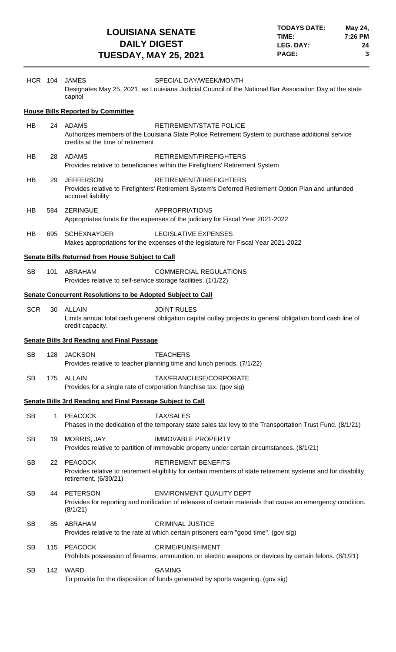| <b>HCR 104</b> |             | <b>JAMES</b><br>capitol                                                      | SPECIAL DAY/WEEK/MONTH<br>Designates May 25, 2021, as Louisiana Judicial Council of the National Bar Association Day at the state              |
|----------------|-------------|------------------------------------------------------------------------------|------------------------------------------------------------------------------------------------------------------------------------------------|
|                |             | <b>House Bills Reported by Committee</b>                                     |                                                                                                                                                |
| HB             |             | 24 ADAMS<br>credits at the time of retirement                                | RETIREMENT/STATE POLICE<br>Authorizes members of the Louisiana State Police Retirement System to purchase additional service                   |
| HB             |             | 28 ADAMS                                                                     | RETIREMENT/FIREFIGHTERS<br>Provides relative to beneficiaries within the Firefighters' Retirement System                                       |
| HB             | 29          | <b>JEFFERSON</b><br>accrued liability                                        | RETIREMENT/FIREFIGHTERS<br>Provides relative to Firefighters' Retirement System's Deferred Retirement Option Plan and unfunded                 |
| HB             | 584         | <b>ZERINGUE</b>                                                              | <b>APPROPRIATIONS</b><br>Appropriates funds for the expenses of the judiciary for Fiscal Year 2021-2022                                        |
| <b>HB</b>      | 695         | <b>SCHEXNAYDER</b>                                                           | LEGISLATIVE EXPENSES<br>Makes appropriations for the expenses of the legislature for Fiscal Year 2021-2022                                     |
|                |             | <b>Senate Bills Returned from House Subject to Call</b>                      |                                                                                                                                                |
| <b>SB</b>      | 101         | ABRAHAM<br>Provides relative to self-service storage facilities. (1/1/22)    | <b>COMMERCIAL REGULATIONS</b>                                                                                                                  |
|                |             | <b>Senate Concurrent Resolutions to be Adopted Subject to Call</b>           |                                                                                                                                                |
| <b>SCR</b>     | 30          | <b>ALLAIN</b><br>credit capacity.                                            | <b>JOINT RULES</b><br>Limits annual total cash general obligation capital outlay projects to general obligation bond cash line of              |
|                |             |                                                                              |                                                                                                                                                |
|                |             | <b>Senate Bills 3rd Reading and Final Passage</b>                            |                                                                                                                                                |
| <b>SB</b>      | 128         | <b>JACKSON</b>                                                               | <b>TEACHERS</b><br>Provides relative to teacher planning time and lunch periods. (7/1/22)                                                      |
| <b>SB</b>      | 175         | ALLAIN<br>Provides for a single rate of corporation franchise tax. (gov sig) | TAX/FRANCHISE/CORPORATE                                                                                                                        |
|                |             | Senate Bills 3rd Reading and Final Passage Subject to Call                   |                                                                                                                                                |
| <b>SB</b>      | $\mathbf 1$ | <b>PEACOCK</b>                                                               | <b>TAX/SALES</b><br>Phases in the dedication of the temporary state sales tax levy to the Transportation Trust Fund. (8/1/21)                  |
| <b>SB</b>      | 19          | <b>MORRIS, JAY</b>                                                           | <b>IMMOVABLE PROPERTY</b><br>Provides relative to partition of immovable property under certain circumstances. (8/1/21)                        |
| <b>SB</b>      | 22          | <b>PEACOCK</b><br>retirement. (6/30/21)                                      | <b>RETIREMENT BENEFITS</b><br>Provides relative to retirement eligibility for certain members of state retirement systems and for disability   |
| <b>SB</b>      | 44          | <b>PETERSON</b><br>(8/1/21)                                                  | <b>ENVIRONMENT QUALITY DEPT</b><br>Provides for reporting and notification of releases of certain materials that cause an emergency condition. |
| <b>SB</b>      | 85          | ABRAHAM                                                                      | <b>CRIMINAL JUSTICE</b><br>Provides relative to the rate at which certain prisoners earn "good time". (gov sig)                                |
| <b>SB</b>      | 115         | <b>PEACOCK</b>                                                               | <b>CRIME/PUNISHMENT</b><br>Prohibits possession of firearms, ammunition, or electric weapons or devices by certain felons. (8/1/21)            |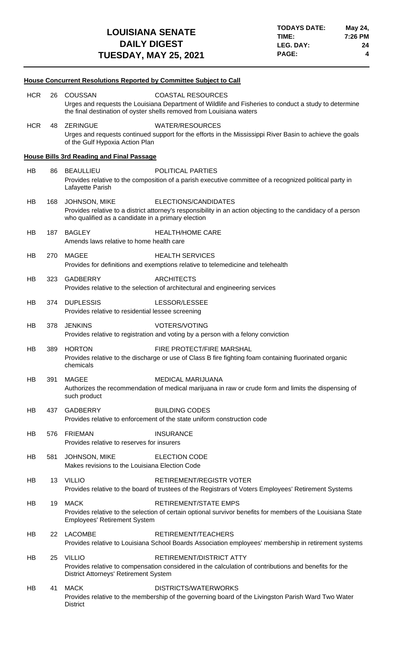|            |     | <b>House Concurrent Resolutions Reported by Committee Subject to Call</b>                                                                                                                                                   |
|------------|-----|-----------------------------------------------------------------------------------------------------------------------------------------------------------------------------------------------------------------------------|
| <b>HCR</b> | 26  | <b>COUSSAN</b><br><b>COASTAL RESOURCES</b><br>Urges and requests the Louisiana Department of Wildlife and Fisheries to conduct a study to determine<br>the final destination of oyster shells removed from Louisiana waters |
| <b>HCR</b> | 48  | <b>ZERINGUE</b><br><b>WATER/RESOURCES</b><br>Urges and requests continued support for the efforts in the Mississippi River Basin to achieve the goals<br>of the Gulf Hypoxia Action Plan                                    |
|            |     | <b>House Bills 3rd Reading and Final Passage</b>                                                                                                                                                                            |
| HB         | 86  | <b>BEAULLIEU</b><br><b>POLITICAL PARTIES</b><br>Provides relative to the composition of a parish executive committee of a recognized political party in<br>Lafayette Parish                                                 |
| HB         | 168 | ELECTIONS/CANDIDATES<br><b>JOHNSON, MIKE</b><br>Provides relative to a district attorney's responsibility in an action objecting to the candidacy of a person<br>who qualified as a candidate in a primary election         |
| HB         | 187 | <b>BAGLEY</b><br><b>HEALTH/HOME CARE</b><br>Amends laws relative to home health care                                                                                                                                        |
| HB         | 270 | MAGEE<br><b>HEALTH SERVICES</b><br>Provides for definitions and exemptions relative to telemedicine and telehealth                                                                                                          |
| HB         | 323 | <b>GADBERRY</b><br><b>ARCHITECTS</b><br>Provides relative to the selection of architectural and engineering services                                                                                                        |
| HB         | 374 | <b>DUPLESSIS</b><br>LESSOR/LESSEE<br>Provides relative to residential lessee screening                                                                                                                                      |
| HB         | 378 | <b>JENKINS</b><br><b>VOTERS/VOTING</b><br>Provides relative to registration and voting by a person with a felony conviction                                                                                                 |
| HB         | 389 | <b>HORTON</b><br>FIRE PROTECT/FIRE MARSHAL<br>Provides relative to the discharge or use of Class B fire fighting foam containing fluorinated organic<br>chemicals                                                           |
| HB         | 391 | <b>MAGEE</b><br><b>MEDICAL MARIJUANA</b><br>Authorizes the recommendation of medical marijuana in raw or crude form and limits the dispensing of<br>such product                                                            |
| HB         | 437 | <b>GADBERRY</b><br><b>BUILDING CODES</b><br>Provides relative to enforcement of the state uniform construction code                                                                                                         |
| HB         | 576 | <b>FRIEMAN</b><br><b>INSURANCE</b><br>Provides relative to reserves for insurers                                                                                                                                            |
| HB         | 581 | JOHNSON, MIKE<br><b>ELECTION CODE</b><br>Makes revisions to the Louisiana Election Code                                                                                                                                     |
| HB         | 13  | VILLIO<br><b>RETIREMENT/REGISTR VOTER</b><br>Provides relative to the board of trustees of the Registrars of Voters Employees' Retirement Systems                                                                           |
| HB         | 19  | <b>MACK</b><br>RETIREMENT/STATE EMPS<br>Provides relative to the selection of certain optional survivor benefits for members of the Louisiana State<br><b>Employees' Retirement System</b>                                  |
| HB         | 22  | <b>LACOMBE</b><br>RETIREMENT/TEACHERS<br>Provides relative to Louisiana School Boards Association employees' membership in retirement systems                                                                               |
| HB         | 25  | <b>VILLIO</b><br>RETIREMENT/DISTRICT ATTY<br>Provides relative to compensation considered in the calculation of contributions and benefits for the<br>District Attorneys' Retirement System                                 |
| HB         | 41  | <b>MACK</b><br>DISTRICTS/WATERWORKS<br>Provides relative to the membership of the governing board of the Livingston Parish Ward Two Water<br><b>District</b>                                                                |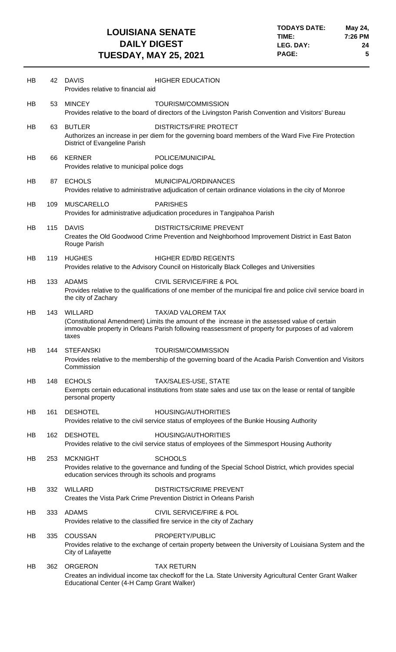| HB | 42  | <b>DAVIS</b><br><b>HIGHER EDUCATION</b><br>Provides relative to financial aid                                                                                                                                                                               |  |
|----|-----|-------------------------------------------------------------------------------------------------------------------------------------------------------------------------------------------------------------------------------------------------------------|--|
| HB | 53  | <b>MINCEY</b><br><b>TOURISM/COMMISSION</b><br>Provides relative to the board of directors of the Livingston Parish Convention and Visitors' Bureau                                                                                                          |  |
| HB | 63  | <b>BUTLER</b><br><b>DISTRICTS/FIRE PROTECT</b><br>Authorizes an increase in per diem for the governing board members of the Ward Five Fire Protection<br>District of Evangeline Parish                                                                      |  |
| HB | 66  | <b>KERNER</b><br>POLICE/MUNICIPAL<br>Provides relative to municipal police dogs                                                                                                                                                                             |  |
| HB | 87  | <b>ECHOLS</b><br>MUNICIPAL/ORDINANCES<br>Provides relative to administrative adjudication of certain ordinance violations in the city of Monroe                                                                                                             |  |
| HB | 109 | <b>MUSCARELLO</b><br><b>PARISHES</b><br>Provides for administrative adjudication procedures in Tangipahoa Parish                                                                                                                                            |  |
| HB | 115 | <b>DAVIS</b><br><b>DISTRICTS/CRIME PREVENT</b><br>Creates the Old Goodwood Crime Prevention and Neighborhood Improvement District in East Baton<br>Rouge Parish                                                                                             |  |
| HB | 119 | <b>HUGHES</b><br><b>HIGHER ED/BD REGENTS</b><br>Provides relative to the Advisory Council on Historically Black Colleges and Universities                                                                                                                   |  |
| HB | 133 | <b>ADAMS</b><br><b>CIVIL SERVICE/FIRE &amp; POL</b><br>Provides relative to the qualifications of one member of the municipal fire and police civil service board in<br>the city of Zachary                                                                 |  |
| HB | 143 | <b>WILLARD</b><br><b>TAX/AD VALOREM TAX</b><br>(Constitutional Amendment) Limits the amount of the increase in the assessed value of certain<br>immovable property in Orleans Parish following reassessment of property for purposes of ad valorem<br>taxes |  |
| HB | 144 | TOURISM/COMMISSION<br><b>STEFANSKI</b><br>Provides relative to the membership of the governing board of the Acadia Parish Convention and Visitors<br>Commission                                                                                             |  |
| HB | 148 | <b>ECHOLS</b><br>TAX/SALES-USE, STATE<br>Exempts certain educational institutions from state sales and use tax on the lease or rental of tangible<br>personal property                                                                                      |  |
| HB | 161 | <b>DESHOTEL</b><br><b>HOUSING/AUTHORITIES</b><br>Provides relative to the civil service status of employees of the Bunkie Housing Authority                                                                                                                 |  |
| HB | 162 | <b>DESHOTEL</b><br><b>HOUSING/AUTHORITIES</b><br>Provides relative to the civil service status of employees of the Simmesport Housing Authority                                                                                                             |  |
| HB | 253 | <b>SCHOOLS</b><br><b>MCKNIGHT</b><br>Provides relative to the governance and funding of the Special School District, which provides special<br>education services through its schools and programs                                                          |  |
| HB | 332 | <b>WILLARD</b><br><b>DISTRICTS/CRIME PREVENT</b><br>Creates the Vista Park Crime Prevention District in Orleans Parish                                                                                                                                      |  |
| HB | 333 | <b>ADAMS</b><br><b>CIVIL SERVICE/FIRE &amp; POL</b><br>Provides relative to the classified fire service in the city of Zachary                                                                                                                              |  |
| HB | 335 | <b>COUSSAN</b><br>PROPERTY/PUBLIC<br>Provides relative to the exchange of certain property between the University of Louisiana System and the<br>City of Lafayette                                                                                          |  |
| HB | 362 | <b>ORGERON</b><br><b>TAX RETURN</b><br>Creates an individual income tax checkoff for the La. State University Agricultural Center Grant Walker<br>Educational Center (4-H Camp Grant Walker)                                                                |  |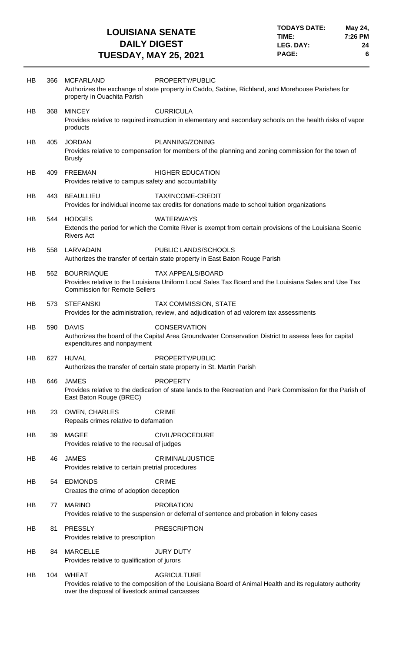| HB  | 366 | <b>MCFARLAND</b><br>property in Ouachita Parish                                        | PROPERTY/PUBLIC<br>Authorizes the exchange of state property in Caddo, Sabine, Richland, and Morehouse Parishes for              |
|-----|-----|----------------------------------------------------------------------------------------|----------------------------------------------------------------------------------------------------------------------------------|
| HB  | 368 | <b>MINCEY</b><br>products                                                              | <b>CURRICULA</b><br>Provides relative to required instruction in elementary and secondary schools on the health risks of vapor   |
| HB  | 405 | <b>JORDAN</b><br><b>Brusly</b>                                                         | PLANNING/ZONING<br>Provides relative to compensation for members of the planning and zoning commission for the town of           |
| HB  | 409 | <b>FREEMAN</b><br>Provides relative to campus safety and accountability                | <b>HIGHER EDUCATION</b>                                                                                                          |
| HB  | 443 | <b>BEAULLIEU</b>                                                                       | TAX/INCOME-CREDIT<br>Provides for individual income tax credits for donations made to school tuition organizations               |
| HB. | 544 | <b>HODGES</b><br><b>Rivers Act</b>                                                     | <b>WATERWAYS</b><br>Extends the period for which the Comite River is exempt from certain provisions of the Louisiana Scenic      |
| HB  | 558 | LARVADAIN                                                                              | PUBLIC LANDS/SCHOOLS<br>Authorizes the transfer of certain state property in East Baton Rouge Parish                             |
| HB  | 562 | <b>BOURRIAQUE</b><br><b>Commission for Remote Sellers</b>                              | <b>TAX APPEALS/BOARD</b><br>Provides relative to the Louisiana Uniform Local Sales Tax Board and the Louisiana Sales and Use Tax |
| HB  | 573 | <b>STEFANSKI</b>                                                                       | <b>TAX COMMISSION, STATE</b><br>Provides for the administration, review, and adjudication of ad valorem tax assessments          |
| HB  | 590 | <b>DAVIS</b><br>expenditures and nonpayment                                            | <b>CONSERVATION</b><br>Authorizes the board of the Capital Area Groundwater Conservation District to assess fees for capital     |
| HB  | 627 | <b>HUVAL</b><br>Authorizes the transfer of certain state property in St. Martin Parish | PROPERTY/PUBLIC                                                                                                                  |
| HB  | 646 | <b>JAMES</b><br>East Baton Rouge (BREC)                                                | <b>PROPERTY</b><br>Provides relative to the dedication of state lands to the Recreation and Park Commission for the Parish of    |
| HB  | 23  | OWEN, CHARLES<br><b>CRIME</b><br>Repeals crimes relative to defamation                 |                                                                                                                                  |
| HB  | 39  | <b>MAGEE</b><br>Provides relative to the recusal of judges                             | CIVIL/PROCEDURE                                                                                                                  |
| HB  | 46  | <b>JAMES</b><br>Provides relative to certain pretrial procedures                       | <b>CRIMINAL/JUSTICE</b>                                                                                                          |
| HB  | 54  | <b>EDMONDS</b><br><b>CRIME</b><br>Creates the crime of adoption deception              |                                                                                                                                  |
| HB  | 77  | <b>MARINO</b>                                                                          | <b>PROBATION</b><br>Provides relative to the suspension or deferral of sentence and probation in felony cases                    |
| HB  | 81  | <b>PRESSLY</b><br>Provides relative to prescription                                    | <b>PRESCRIPTION</b>                                                                                                              |
| HB  | 84  | <b>MARCELLE</b><br>Provides relative to qualification of jurors                        | <b>JURY DUTY</b>                                                                                                                 |
| HB  | 104 | <b>WHEAT</b><br>over the disposal of livestock animal carcasses                        | <b>AGRICULTURE</b><br>Provides relative to the composition of the Louisiana Board of Animal Health and its regulatory authority  |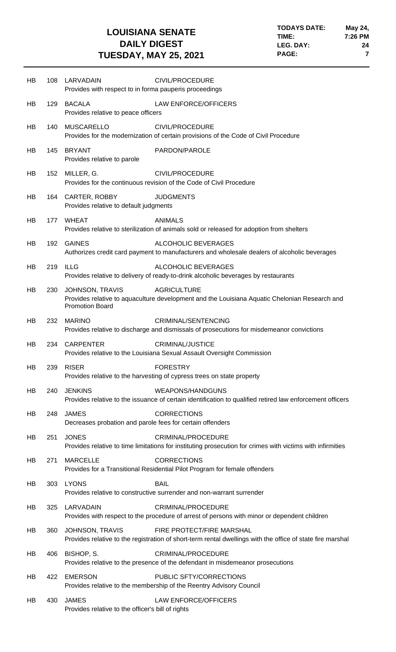| HB | 108 | LARVADAIN<br>Provides with respect to in forma pauperis proceedings       | CIVIL/PROCEDURE                                                                                                                         |
|----|-----|---------------------------------------------------------------------------|-----------------------------------------------------------------------------------------------------------------------------------------|
| HB | 129 | <b>BACALA</b><br>Provides relative to peace officers                      | <b>LAW ENFORCE/OFFICERS</b>                                                                                                             |
| HB | 140 | <b>MUSCARELLO</b>                                                         | CIVIL/PROCEDURE<br>Provides for the modernization of certain provisions of the Code of Civil Procedure                                  |
| HB | 145 | <b>BRYANT</b><br>Provides relative to parole                              | PARDON/PAROLE                                                                                                                           |
| HB | 152 | MILLER, G.                                                                | CIVIL/PROCEDURE<br>Provides for the continuous revision of the Code of Civil Procedure                                                  |
| HB | 164 | <b>CARTER, ROBBY</b><br>Provides relative to default judgments            | <b>JUDGMENTS</b>                                                                                                                        |
| HB | 177 | <b>WHEAT</b>                                                              | <b>ANIMALS</b><br>Provides relative to sterilization of animals sold or released for adoption from shelters                             |
| HB | 192 | <b>GAINES</b>                                                             | ALCOHOLIC BEVERAGES<br>Authorizes credit card payment to manufacturers and wholesale dealers of alcoholic beverages                     |
| HB | 219 | <b>ILLG</b>                                                               | <b>ALCOHOLIC BEVERAGES</b><br>Provides relative to delivery of ready-to-drink alcoholic beverages by restaurants                        |
| HB | 230 | <b>JOHNSON, TRAVIS</b><br><b>Promotion Board</b>                          | <b>AGRICULTURE</b><br>Provides relative to aquaculture development and the Louisiana Aquatic Chelonian Research and                     |
| HB | 232 | <b>MARINO</b>                                                             | CRIMINAL/SENTENCING<br>Provides relative to discharge and dismissals of prosecutions for misdemeanor convictions                        |
| HB | 234 | <b>CARPENTER</b>                                                          | <b>CRIMINAL/JUSTICE</b><br>Provides relative to the Louisiana Sexual Assault Oversight Commission                                       |
| HB | 239 | <b>RISER</b>                                                              | <b>FORESTRY</b><br>Provides relative to the harvesting of cypress trees on state property                                               |
| HB | 240 | <b>JENKINS</b>                                                            | <b>WEAPONS/HANDGUNS</b><br>Provides relative to the issuance of certain identification to qualified retired law enforcement officers    |
| HB | 248 | <b>JAMES</b><br>Decreases probation and parole fees for certain offenders | <b>CORRECTIONS</b>                                                                                                                      |
| HB | 251 | <b>JONES</b>                                                              | CRIMINAL/PROCEDURE<br>Provides relative to time limitations for instituting prosecution for crimes with victims with infirmities        |
| HB | 271 | <b>MARCELLE</b>                                                           | <b>CORRECTIONS</b><br>Provides for a Transitional Residential Pilot Program for female offenders                                        |
| HB | 303 | <b>LYONS</b>                                                              | <b>BAIL</b><br>Provides relative to constructive surrender and non-warrant surrender                                                    |
| HB | 325 | LARVADAIN                                                                 | CRIMINAL/PROCEDURE<br>Provides with respect to the procedure of arrest of persons with minor or dependent children                      |
| HB | 360 | <b>JOHNSON, TRAVIS</b>                                                    | FIRE PROTECT/FIRE MARSHAL<br>Provides relative to the registration of short-term rental dwellings with the office of state fire marshal |
| HB | 406 | BISHOP, S.                                                                | CRIMINAL/PROCEDURE<br>Provides relative to the presence of the defendant in misdemeanor prosecutions                                    |
| HB | 422 | <b>EMERSON</b>                                                            | PUBLIC SFTY/CORRECTIONS<br>Provides relative to the membership of the Reentry Advisory Council                                          |
| HB | 430 | <b>JAMES</b><br>Provides relative to the officer's bill of rights         | <b>LAW ENFORCE/OFFICERS</b>                                                                                                             |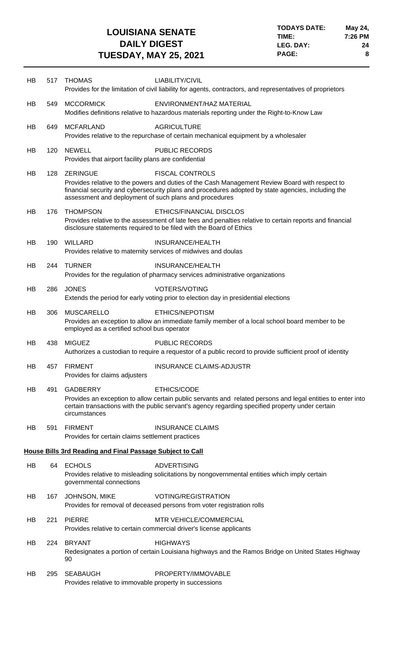| HB | 517 | <b>THOMAS</b>                                                             | LIABILITY/CIVIL<br>Provides for the limitation of civil liability for agents, contractors, and representatives of proprietors                                                                                                  |
|----|-----|---------------------------------------------------------------------------|--------------------------------------------------------------------------------------------------------------------------------------------------------------------------------------------------------------------------------|
| HB | 549 | <b>MCCORMICK</b>                                                          | ENVIRONMENT/HAZ MATERIAL<br>Modifies definitions relative to hazardous materials reporting under the Right-to-Know Law                                                                                                         |
| HB | 649 | <b>MCFARLAND</b>                                                          | <b>AGRICULTURE</b><br>Provides relative to the repurchase of certain mechanical equipment by a wholesaler                                                                                                                      |
| HB | 120 | <b>NEWELL</b><br>Provides that airport facility plans are confidential    | <b>PUBLIC RECORDS</b>                                                                                                                                                                                                          |
| HB | 128 | <b>ZERINGUE</b><br>assessment and deployment of such plans and procedures | <b>FISCAL CONTROLS</b><br>Provides relative to the powers and duties of the Cash Management Review Board with respect to<br>financial security and cybersecurity plans and procedures adopted by state agencies, including the |
| HB | 176 | <b>THOMPSON</b>                                                           | ETHICS/FINANCIAL DISCLOS<br>Provides relative to the assessment of late fees and penalties relative to certain reports and financial<br>disclosure statements required to be filed with the Board of Ethics                    |
| HB | 190 | <b>WILLARD</b>                                                            | <b>INSURANCE/HEALTH</b><br>Provides relative to maternity services of midwives and doulas                                                                                                                                      |
| HB | 244 | <b>TURNER</b>                                                             | <b>INSURANCE/HEALTH</b><br>Provides for the regulation of pharmacy services administrative organizations                                                                                                                       |
| HB | 286 | <b>JONES</b>                                                              | <b>VOTERS/VOTING</b><br>Extends the period for early voting prior to election day in presidential elections                                                                                                                    |
| HB | 306 | <b>MUSCARELLO</b><br>employed as a certified school bus operator          | ETHICS/NEPOTISM<br>Provides an exception to allow an immediate family member of a local school board member to be                                                                                                              |
| HB | 438 | <b>MIGUEZ</b>                                                             | <b>PUBLIC RECORDS</b>                                                                                                                                                                                                          |
|    |     |                                                                           | Authorizes a custodian to require a requestor of a public record to provide sufficient proof of identity                                                                                                                       |
| HB | 457 | <b>FIRMENT</b><br>Provides for claims adjusters                           | <b>INSURANCE CLAIMS-ADJUSTR</b>                                                                                                                                                                                                |
| HB | 491 | <b>GADBERRY</b><br>circumstances                                          | ETHICS/CODE<br>Provides an exception to allow certain public servants and related persons and legal entities to enter into<br>certain transactions with the public servant's agency regarding specified property under certain |
| HB | 591 | <b>FIRMENT</b><br>Provides for certain claims settlement practices        | <b>INSURANCE CLAIMS</b>                                                                                                                                                                                                        |
|    |     | <b>House Bills 3rd Reading and Final Passage Subject to Call</b>          |                                                                                                                                                                                                                                |
| HB | 64  | <b>ECHOLS</b><br>governmental connections                                 | <b>ADVERTISING</b><br>Provides relative to misleading solicitations by nongovernmental entities which imply certain                                                                                                            |
| HB | 167 | JOHNSON, MIKE                                                             | <b>VOTING/REGISTRATION</b><br>Provides for removal of deceased persons from voter registration rolls                                                                                                                           |
| HB | 221 | <b>PIERRE</b>                                                             | <b>MTR VEHICLE/COMMERCIAL</b><br>Provides relative to certain commercial driver's license applicants                                                                                                                           |
| HB | 224 | <b>BRYANT</b><br>90                                                       | <b>HIGHWAYS</b><br>Redesignates a portion of certain Louisiana highways and the Ramos Bridge on United States Highway                                                                                                          |
| HB | 295 | <b>SEABAUGH</b><br>Provides relative to immovable property in successions | PROPERTY/IMMOVABLE                                                                                                                                                                                                             |